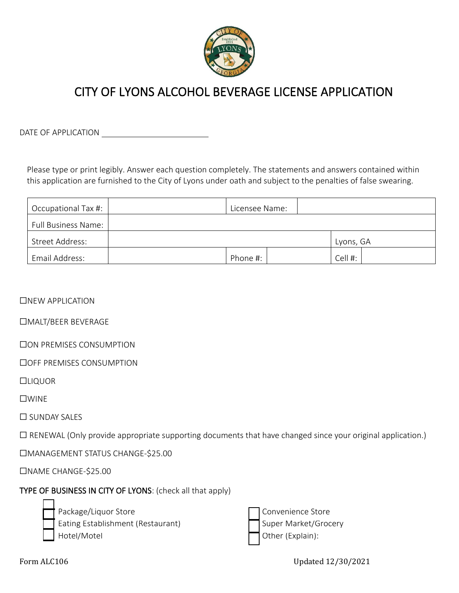

# CITY OF LYONS ALCOHOL BEVERAGE LICENSE APPLICATION

DATE OF APPLICATION

Please type or print legibly. Answer each question completely. The statements and answers contained within this application are furnished to the City of Lyons under oath and subject to the penalties of false swearing.

| Occupational Tax #:        |  | Licensee Name: |  |  |           |  |
|----------------------------|--|----------------|--|--|-----------|--|
| <b>Full Business Name:</b> |  |                |  |  |           |  |
| Street Address:            |  |                |  |  | Lyons, GA |  |
| Email Address:             |  | Phone #:       |  |  | Cell #:   |  |

□NEW APPLICATION

☐MALT/BEER BEVERAGE

☐ON PREMISES CONSUMPTION

☐OFF PREMISES CONSUMPTION

☐LIQUOR

☐WINE

☐ SUNDAY SALES

☐ RENEWAL (Only provide appropriate supporting documents that have changed since your original application.)

☐MANAGEMENT STATUS CHANGE-\$25.00

☐NAME CHANGE-\$25.00

TYPE OF BUSINESS IN CITY OF LYONS: (check all that apply)

| I |
|---|
|   |

 $\Box$ 

Package/Liquor Store Eating Establishment (Restaurant) Hotel/Motel

|  | Convenience Store    |
|--|----------------------|
|  | Super Market/Grocery |
|  | Other (Explain):     |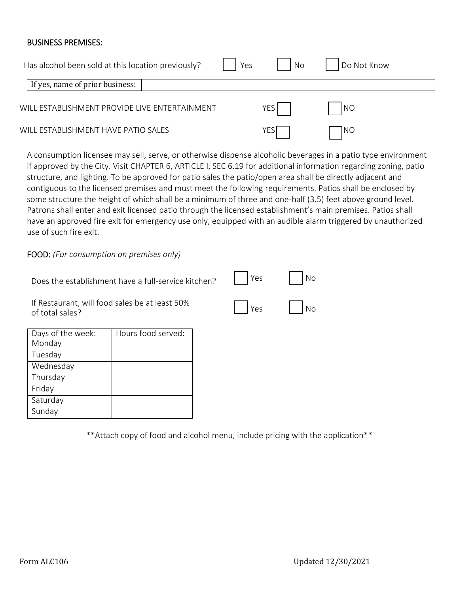#### BUSINESS PREMISES:

| Has alcohol been sold at this location previously? | Yes | No    | Do Not Know |  |
|----------------------------------------------------|-----|-------|-------------|--|
| If yes, name of prior business:                    |     |       |             |  |
| WILL ESTABLISHMENT PROVIDE LIVE ENTERTAINMENT      |     | YES I | N           |  |
| WILL ESTABLISHMENT HAVE PATIO SALES                |     | YES   | <b>INO</b>  |  |

A consumption licensee may sell, serve, or otherwise dispense alcoholic beverages in a patio type environment if approved by the City. Visit CHAPTER 6, ARTICLE I, SEC 6.19 for additional information regarding zoning, patio structure, and lighting. To be approved for patio sales the patio/open area shall be directly adjacent and contiguous to the licensed premises and must meet the following requirements. Patios shall be enclosed by some structure the height of which shall be a minimum of three and one-half (3.5) feet above ground level. Patrons shall enter and exit licensed patio through the licensed establishment's main premises. Patios shall have an approved fire exit for emergency use only, equipped with an audible alarm triggered by unauthorized use of such fire exit.

FOOD: *(For consumption on premises only)*

| Does the establishment have a full-service kitchen? $\ \cdot\ $ Yes $\ \cdot\ $ No |                                        |
|------------------------------------------------------------------------------------|----------------------------------------|
| If Restaurant, will food sales be at least 50%<br>of total sales?                  | $\vert$ $\vert$ Yes $\vert$ $\vert$ No |

| Days of the week: | Hours food served: |
|-------------------|--------------------|
| Monday            |                    |
| Tuesday           |                    |
| Wednesday         |                    |
| Thursday          |                    |
| Friday            |                    |
| Saturday          |                    |
| Sunday            |                    |

\*\*Attach copy of food and alcohol menu, include pricing with the application\*\*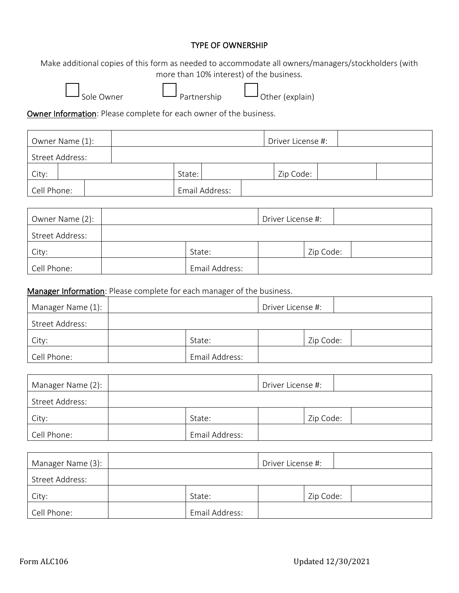#### TYPE OF OWNERSHIP

Make additional copies of this form as needed to accommodate all owners/managers/stockholders (with more than 10% interest) of the business.



Sole Owner Partnership Other (explain)

Owner Information: Please complete for each owner of the business.

| Owner Name (1): |  |        |                | Driver License #: |  |
|-----------------|--|--------|----------------|-------------------|--|
| Street Address: |  |        |                |                   |  |
| City:           |  | State: |                | Zip Code:         |  |
| Cell Phone:     |  |        | Email Address: |                   |  |

| Owner Name (2): |                | Driver License #: |           |  |
|-----------------|----------------|-------------------|-----------|--|
| Street Address: |                |                   |           |  |
| City:           | State:         |                   | Zip Code: |  |
| Cell Phone:     | Email Address: |                   |           |  |

Manager Information: Please complete for each manager of the business.

| Manager Name (1): |                | Driver License #: |           |  |
|-------------------|----------------|-------------------|-----------|--|
| Street Address:   |                |                   |           |  |
| City:             | State:         |                   | Zip Code: |  |
| Cell Phone:       | Email Address: |                   |           |  |

| Manager Name (2): |                | Driver License #: |           |  |
|-------------------|----------------|-------------------|-----------|--|
| Street Address:   |                |                   |           |  |
| City:             | State:         |                   | Zip Code: |  |
| Cell Phone:       | Email Address: |                   |           |  |

| Manager Name (3): |                | Driver License #: |           |  |
|-------------------|----------------|-------------------|-----------|--|
| Street Address:   |                |                   |           |  |
| City:             | State:         |                   | Zip Code: |  |
| Cell Phone:       | Email Address: |                   |           |  |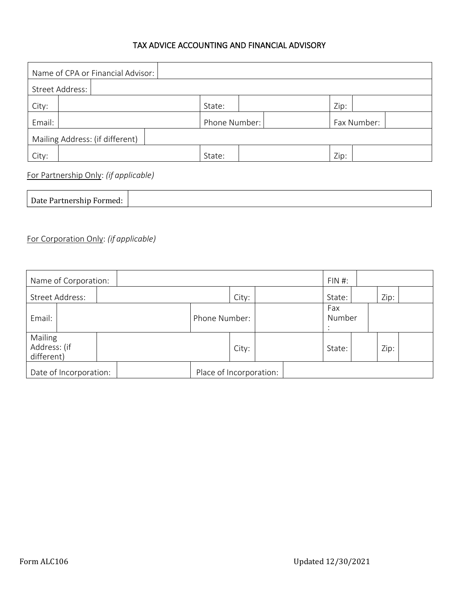### TAX ADVICE ACCOUNTING AND FINANCIAL ADVISORY

| Name of CPA or Financial Advisor: |  |  |               |        |             |  |      |  |
|-----------------------------------|--|--|---------------|--------|-------------|--|------|--|
| Street Address:                   |  |  |               |        |             |  |      |  |
| City:                             |  |  |               | State: |             |  | Zip: |  |
| Email:                            |  |  | Phone Number: |        | Fax Number: |  |      |  |
| Mailing Address: (if different)   |  |  |               |        |             |  |      |  |
| City:                             |  |  |               | State: |             |  | Zip: |  |

For Partnership Only: *(if applicable)*

| Date Partnership Formed: |  |
|--------------------------|--|

### For Corporation Only: *(if applicable)*

| Name of Corporation:                  |               |                         |  | $FIN#$ :      |  |      |  |
|---------------------------------------|---------------|-------------------------|--|---------------|--|------|--|
| Street Address:                       |               | City:                   |  | State:        |  | Zip: |  |
| Email:                                | Phone Number: |                         |  | Fax<br>Number |  |      |  |
| Mailing<br>Address: (if<br>different) |               | City:                   |  | State:        |  | Zip: |  |
| Date of Incorporation:                |               | Place of Incorporation: |  |               |  |      |  |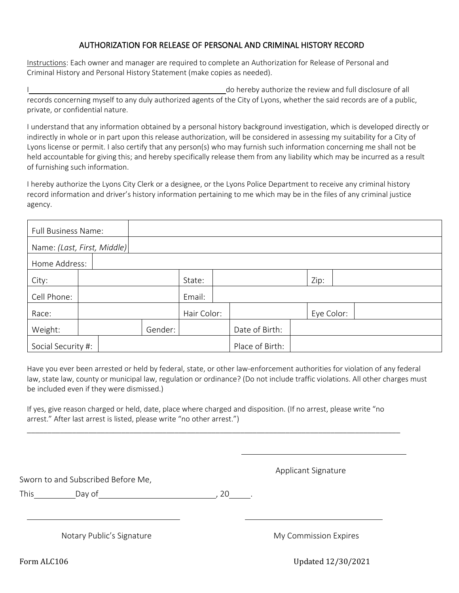#### AUTHORIZATION FOR RELEASE OF PERSONAL AND CRIMINAL HISTORY RECORD

Instructions: Each owner and manager are required to complete an Authorization for Release of Personal and Criminal History and Personal History Statement (make copies as needed).

do hereby authorize the review and full disclosure of all records concerning myself to any duly authorized agents of the City of Lyons, whether the said records are of a public, private, or confidential nature.

I understand that any information obtained by a personal history background investigation, which is developed directly or indirectly in whole or in part upon this release authorization, will be considered in assessing my suitability for a City of Lyons license or permit. I also certify that any person(s) who may furnish such information concerning me shall not be held accountable for giving this; and hereby specifically release them from any liability which may be incurred as a result of furnishing such information.

I hereby authorize the Lyons City Clerk or a designee, or the Lyons Police Department to receive any criminal history record information and driver's history information pertaining to me which may be in the files of any criminal justice agency.

|                             | <b>Full Business Name:</b> |  |         |             |                 |                |  |            |  |  |  |
|-----------------------------|----------------------------|--|---------|-------------|-----------------|----------------|--|------------|--|--|--|
| Name: (Last, First, Middle) |                            |  |         |             |                 |                |  |            |  |  |  |
|                             | Home Address:              |  |         |             |                 |                |  |            |  |  |  |
| City:                       |                            |  |         | State:      |                 |                |  | Zip:       |  |  |  |
| Cell Phone:                 |                            |  |         | Email:      |                 |                |  |            |  |  |  |
| Race:                       |                            |  |         | Hair Color: |                 |                |  | Eye Color: |  |  |  |
| Weight:                     |                            |  | Gender: |             |                 | Date of Birth: |  |            |  |  |  |
| Social Security #:          |                            |  |         |             | Place of Birth: |                |  |            |  |  |  |

Have you ever been arrested or held by federal, state, or other law-enforcement authorities for violation of any federal law, state law, county or municipal law, regulation or ordinance? (Do not include traffic violations. All other charges must be included even if they were dismissed.)

If yes, give reason charged or held, date, place where charged and disposition. (If no arrest, please write "no arrest." After last arrest is listed, please write "no other arrest.")

\_\_\_\_\_\_\_\_\_\_\_\_\_\_\_\_\_\_\_\_\_\_\_\_\_\_\_\_\_\_\_\_\_\_\_\_\_\_\_\_\_\_\_\_\_\_\_\_\_\_\_\_\_\_\_\_\_\_\_\_\_\_\_\_\_\_\_\_\_\_\_\_\_\_\_\_\_\_\_\_\_\_\_\_\_\_\_\_\_\_\_

Sworn to and Subscribed Before Me,

Applicant Signature

This Day of this Day of the contract of the contract of the Day of the contract of the contract of the contract of the contract of the contract of the contract of the contract of the contract of the contract of the contrac

Notary Public's Signature My Commission Expires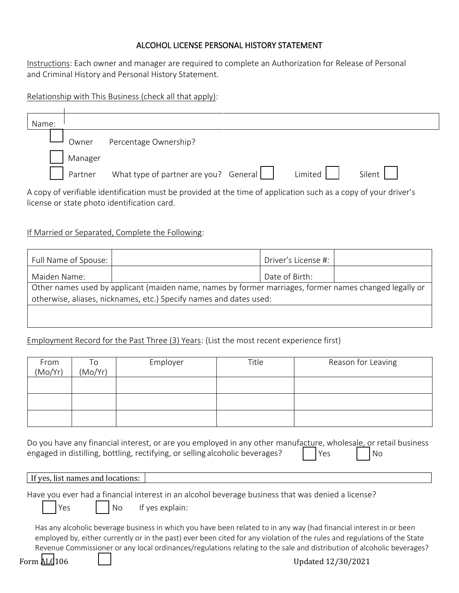### ALCOHOL LICENSE PERSONAL HISTORY STATEMENT

Instructions: Each owner and manager are required to complete an Authorization for Release of Personal and Criminal History and Personal History Statement.

Relationship with This Business (check all that apply):

| Name: |                                                                                                                 |                                       |  |         |        |  |  |
|-------|-----------------------------------------------------------------------------------------------------------------|---------------------------------------|--|---------|--------|--|--|
|       | Owner                                                                                                           | Percentage Ownership?                 |  |         |        |  |  |
|       | Manager                                                                                                         |                                       |  |         |        |  |  |
|       | Partner                                                                                                         | What type of partner are you? General |  | Limited | Silent |  |  |
|       | A copy of verifiable identification must be provided at the time of application such as a copy of your driver's |                                       |  |         |        |  |  |

### If Married or Separated, Complete the Following:

license or state photo identification card.

| Full Name of Spouse:                                                                                   |  | Driver's License #: |  |  |  |  |
|--------------------------------------------------------------------------------------------------------|--|---------------------|--|--|--|--|
| Maiden Name:                                                                                           |  | Date of Birth:      |  |  |  |  |
| Other names used by applicant (maiden name, names by former marriages, former names changed legally or |  |                     |  |  |  |  |
| otherwise, aliases, nicknames, etc.) Specify names and dates used:                                     |  |                     |  |  |  |  |
|                                                                                                        |  |                     |  |  |  |  |
|                                                                                                        |  |                     |  |  |  |  |

### Employment Record for the Past Three (3) Years: (List the most recent experience first)

| From<br>(Mo/Yr) | To<br>(Mo/Yr) | Employer | Title | Reason for Leaving |
|-----------------|---------------|----------|-------|--------------------|
|                 |               |          |       |                    |
|                 |               |          |       |                    |
|                 |               |          |       |                    |

Do you have any financial interest, or are you employed in any other manufacture, wholesale, or retail business engaged in distilling, bottling, rectifying, or selling alcoholic beverages?  $\vert$  | Yes | | No

If yes, list names and locations:

Have you ever had a financial interest in an alcohol beverage business that was denied a license?

 $Yes$   $| No$  If yes explain:

Has any alcoholic beverage business in which you have been related to in any way (had financial interest in or been employed by, either currently or in the past) ever been cited for any violation of the rules and regulations of the State Revenue Commissioner or any local ordinances/regulations relating to the sale and distribution of alcoholic beverages?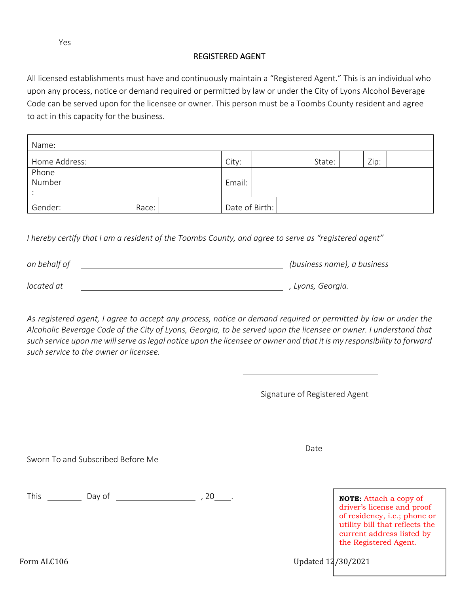#### REGISTERED AGENT

All licensed establishments must have and continuously maintain a "Registered Agent." This is an individual who upon any process, notice or demand required or permitted by law or under the City of Lyons Alcohol Beverage Code can be served upon for the licensee or owner. This person must be a Toombs County resident and agree to act in this capacity for the business.

| Name:           |  |       |        |                |  |        |      |  |
|-----------------|--|-------|--------|----------------|--|--------|------|--|
| Home Address:   |  |       |        | City:          |  | State: | Zip: |  |
| Phone<br>Number |  |       | Email: |                |  |        |      |  |
| Gender:         |  | Race: |        | Date of Birth: |  |        |      |  |

*I hereby certify that I am a resident of the Toombs County, and agree to serve as "registered agent"*

| (business name), a business |
|-----------------------------|
|                             |
| . Lyons, Georgia.           |
|                             |

As registered agent, I agree to accept any process, notice or demand required or permitted by law or under the *Alcoholic Beverage Code of the City of Lyons, Georgia, to be served upon the licensee or owner. I understand that such service upon me will serve as legal notice upon the licensee or owner and that it is my responsibility to forward such service to the owner or licensee.*

Signature of Registered Agent

Sworn To and Subscribed Before Me

This Day of , 20 . **NOTE:** Attach a copy of

driver's license and proof of residency, i.e.; phone or utility bill that reflects the current address listed by the Registered Agent.

Form ALC106 Updated  $12/30/2021$ 

Date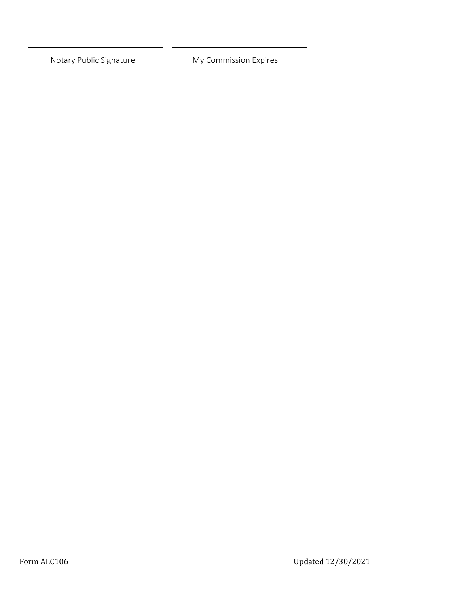Notary Public Signature My Commission Expires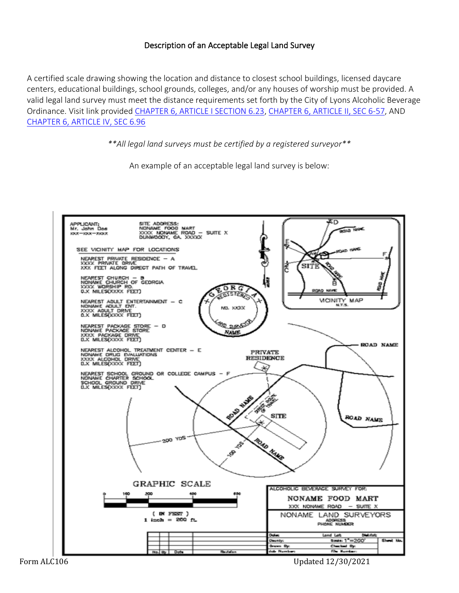### Description of an Acceptable Legal Land Survey

A certified scale drawing showing the location and distance to closest school buildings, licensed daycare centers, educational buildings, school grounds, colleges, and/or any houses of worship must be provided. A valid legal land survey must meet the distance requirements set forth by the City of Lyons Alcoholic Beverage Ordinance. Visit link provided [CHAPTER 6, ARTICLE I SECTION 6.23,](https://library.municode.com/ga/lyons/codes/code_of_ordinances?nodeId=PTIICO_CH6ALBE_ARTIIIPADISP_S6-73PRCHBUSCSCGR) [CHAPTER 6, ARTICLE II, SEC 6-57,](https://library.municode.com/ga/lyons/codes/code_of_ordinances?nodeId=PTIICO_CH6ALBE_ARTIIBEMABEWI_S6-57PRCHBUSCSCGR) AND [CHAPTER 6, ARTICLE IV, SEC 6.96](https://library.municode.com/ga/lyons/codes/code_of_ordinances?nodeId=PTIICO_CH6ALBE_ARTIVSADISPDRCOPRON_S6-96PRCHBUSCSCGR)

*\*\*All legal land surveys must be certified by a registered surveyor\*\**

An example of an acceptable legal land survey is below:

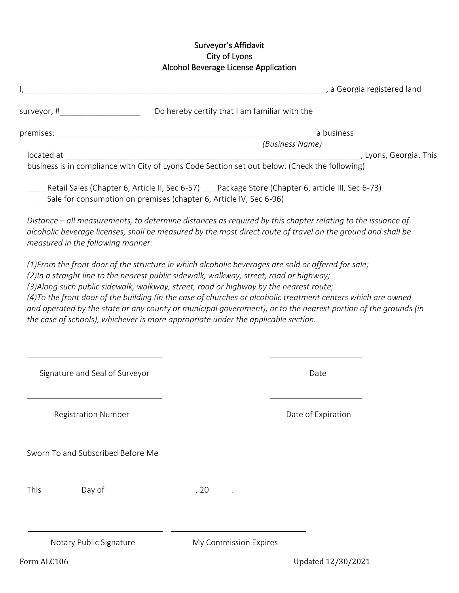### Surveyor's Affidavit City of Lyons Alcohol Beverage License Application

| a Georgia registered land (3) a material contract of the contract of the contract of the contract of the contr                                                                                                                                                                                                                                                                                                                                                                                                                                                                                                   |                       |                    |  |
|------------------------------------------------------------------------------------------------------------------------------------------------------------------------------------------------------------------------------------------------------------------------------------------------------------------------------------------------------------------------------------------------------------------------------------------------------------------------------------------------------------------------------------------------------------------------------------------------------------------|-----------------------|--------------------|--|
| surveyor, #______________________________Do hereby certify that I am familiar with the                                                                                                                                                                                                                                                                                                                                                                                                                                                                                                                           |                       |                    |  |
|                                                                                                                                                                                                                                                                                                                                                                                                                                                                                                                                                                                                                  |                       | a business         |  |
|                                                                                                                                                                                                                                                                                                                                                                                                                                                                                                                                                                                                                  |                       | (Business Name)    |  |
| located at and a state of the state of the state of the state of the state of the state of the state of the sta                                                                                                                                                                                                                                                                                                                                                                                                                                                                                                  |                       |                    |  |
| business is in compliance with City of Lyons Code Section set out below. (Check the following)                                                                                                                                                                                                                                                                                                                                                                                                                                                                                                                   |                       |                    |  |
| Retail Sales (Chapter 6, Article II, Sec 6-57) ____ Package Store (Chapter 6, article III, Sec 6-73)<br>Sale for consumption on premises (chapter 6, Article IV, Sec 6-96)                                                                                                                                                                                                                                                                                                                                                                                                                                       |                       |                    |  |
| Distance – all measurements, to determine distances as required by this chapter relating to the issuance of<br>alcoholic beverage licenses, shall be measured by the most direct route of travel on the ground and shall be<br>measured in the following manner:                                                                                                                                                                                                                                                                                                                                                 |                       |                    |  |
| (1) From the front door of the structure in which alcoholic beverages are sold or offered for sale;<br>(2)In a straight line to the nearest public sidewalk, walkway, street, road or highway;<br>(3) Along such public sidewalk, walkway, street, road or highway by the nearest route;<br>(4) To the front door of the building (in the case of churches or alcoholic treatment centers which are owned<br>and operated by the state or any county or municipal government), or to the nearest portion of the grounds (in<br>the case of schools), whichever is more appropriate under the applicable section. |                       |                    |  |
| Signature and Seal of Surveyor                                                                                                                                                                                                                                                                                                                                                                                                                                                                                                                                                                                   |                       | Date               |  |
| <b>Registration Number</b>                                                                                                                                                                                                                                                                                                                                                                                                                                                                                                                                                                                       |                       | Date of Expiration |  |
| Sworn To and Subscribed Before Me                                                                                                                                                                                                                                                                                                                                                                                                                                                                                                                                                                                |                       |                    |  |
|                                                                                                                                                                                                                                                                                                                                                                                                                                                                                                                                                                                                                  |                       |                    |  |
| Notary Public Signature                                                                                                                                                                                                                                                                                                                                                                                                                                                                                                                                                                                          | My Commission Expires |                    |  |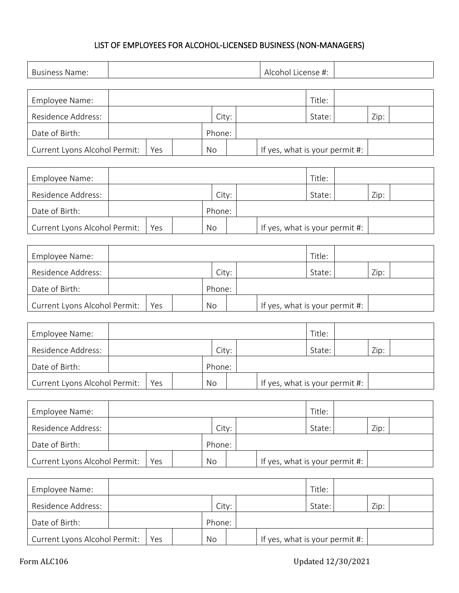### LIST OF EMPLOYEES FOR ALCOHOL-LICENSED BUSINESS (NON-MANAGERS)

| <b>Business Name:</b>         | Alcohol License #: |  |           |  |  |                                |        |      |  |
|-------------------------------|--------------------|--|-----------|--|--|--------------------------------|--------|------|--|
|                               |                    |  |           |  |  |                                |        |      |  |
| Employee Name:                |                    |  |           |  |  |                                | Title: |      |  |
| Residence Address:            |                    |  | City:     |  |  |                                | State: | Zip: |  |
| Date of Birth:                |                    |  | Phone:    |  |  |                                |        |      |  |
| Current Lyons Alcohol Permit: | Yes                |  | No        |  |  | If yes, what is your permit #: |        |      |  |
|                               |                    |  |           |  |  |                                |        |      |  |
| Employee Name:                |                    |  |           |  |  |                                | Title: |      |  |
| Residence Address:            |                    |  | City:     |  |  |                                | State: | Zip: |  |
| Date of Birth:                |                    |  | Phone:    |  |  |                                |        |      |  |
| Current Lyons Alcohol Permit: | Yes                |  | No        |  |  | If yes, what is your permit #: |        |      |  |
|                               |                    |  |           |  |  |                                |        |      |  |
| Employee Name:                |                    |  |           |  |  |                                | Title: |      |  |
| Residence Address:            |                    |  | City:     |  |  |                                | State: | Zip: |  |
| Date of Birth:                |                    |  | Phone:    |  |  |                                |        |      |  |
| Current Lyons Alcohol Permit: | Yes                |  | <b>No</b> |  |  | If yes, what is your permit #: |        |      |  |
|                               |                    |  |           |  |  |                                |        |      |  |
| Employee Name:                |                    |  |           |  |  |                                | Title: |      |  |
| Residence Address:            |                    |  | City:     |  |  |                                | State: | Zip: |  |
| Date of Birth:                |                    |  | Phone:    |  |  |                                |        |      |  |
| Current Lyons Alcohol Permit: | Yes                |  | No        |  |  | If yes, what is your permit #: |        |      |  |
|                               |                    |  |           |  |  |                                |        |      |  |
| Employee Name:                |                    |  |           |  |  |                                | Title: |      |  |
| Residence Address:            |                    |  | City:     |  |  |                                | State: | Zip: |  |
| Date of Birth:                |                    |  | Phone:    |  |  |                                |        |      |  |
| Current Lyons Alcohol Permit: | Yes                |  | No        |  |  | If yes, what is your permit #: |        |      |  |
|                               |                    |  |           |  |  |                                |        |      |  |
| Employee Name:                |                    |  |           |  |  |                                | Title: |      |  |
| Residence Address:            |                    |  | City:     |  |  |                                | State: | Zip: |  |
| Date of Birth:                |                    |  | Phone:    |  |  |                                |        |      |  |
| Current Lyons Alcohol Permit: | Yes                |  | No        |  |  | If yes, what is your permit #: |        |      |  |
|                               |                    |  |           |  |  |                                |        |      |  |

 $\mathbf{r}$ 

L,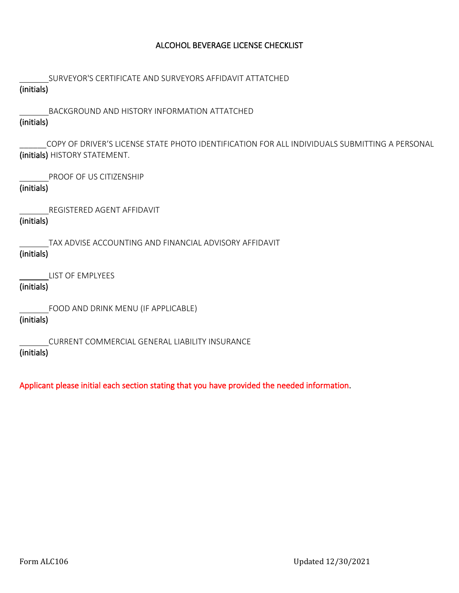#### ALCOHOL BEVERAGE LICENSE CHECKLIST

SURVEYOR'S CERTIFICATE AND SURVEYORS AFFIDAVIT ATTATCHED

## (initials)

 BACKGROUND AND HISTORY INFORMATION ATTATCHED (initials)

\_\_\_\_\_\_COPY OF DRIVER'S LICENSE STATE PHOTO IDENTIFICATION FOR ALL INDIVIDUALS SUBMITTING A PERSONAL (initials) HISTORY STATEMENT.

PROOF OF US CITIZENSHIP

### (initials)

REGISTERED AGENT AFFIDAVIT

### (initials)

 TAX ADVISE ACCOUNTING AND FINANCIAL ADVISORY AFFIDAVIT (initials)

LIST OF EMPLYEES

### (initials)

FOOD AND DRINK MENU (IF APPLICABLE)

### (initials)

CURRENT COMMERCIAL GENERAL LIABILITY INSURANCE

### (initials)

Applicant please initial each section stating that you have provided the needed information.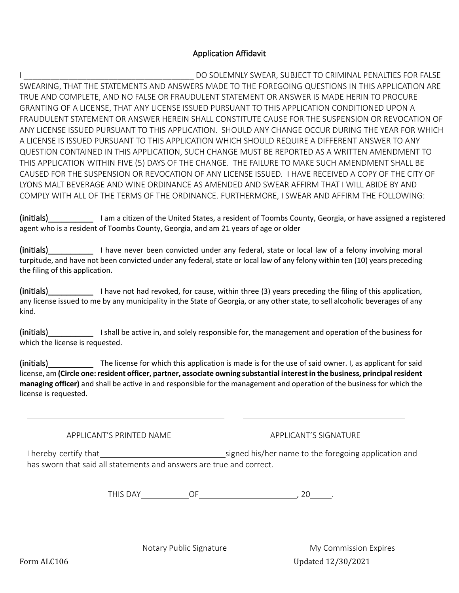#### Application Affidavit

I \_\_\_\_\_\_\_\_\_\_\_\_\_\_\_\_\_\_\_\_\_\_\_\_\_\_\_\_\_\_\_\_\_\_\_\_\_\_ DO SOLEMNLY SWEAR, SUBJECT TO CRIMINAL PENALTIES FOR FALSE SWEARING, THAT THE STATEMENTS AND ANSWERS MADE TO THE FOREGOING QUESTIONS IN THIS APPLICATION ARE TRUE AND COMPLETE, AND NO FALSE OR FRAUDULENT STATEMENT OR ANSWER IS MADE HERIN TO PROCURE GRANTING OF A LICENSE, THAT ANY LICENSE ISSUED PURSUANT TO THIS APPLICATION CONDITIONED UPON A FRAUDULENT STATEMENT OR ANSWER HEREIN SHALL CONSTITUTE CAUSE FOR THE SUSPENSION OR REVOCATION OF ANY LICENSE ISSUED PURSUANT TO THIS APPLICATION. SHOULD ANY CHANGE OCCUR DURING THE YEAR FOR WHICH A LICENSE IS ISSUED PURSUANT TO THIS APPLICATION WHICH SHOULD REQUIRE A DIFFERENT ANSWER TO ANY QUESTION CONTAINED IN THIS APPLICATION, SUCH CHANGE MUST BE REPORTED AS A WRITTEN AMENDMENT TO THIS APPLICATION WITHIN FIVE (5) DAYS OF THE CHANGE. THE FAILURE TO MAKE SUCH AMENDMENT SHALL BE CAUSED FOR THE SUSPENSION OR REVOCATION OF ANY LICENSE ISSUED. I HAVE RECEIVED A COPY OF THE CITY OF LYONS MALT BEVERAGE AND WINE ORDINANCE AS AMENDED AND SWEAR AFFIRM THAT I WILL ABIDE BY AND COMPLY WITH ALL OF THE TERMS OF THE ORDINANCE. FURTHERMORE, I SWEAR AND AFFIRM THE FOLLOWING:

(initials)\_\_\_\_\_\_\_\_\_\_ I am a citizen of the United States, a resident of Toombs County, Georgia, or have assigned a registered agent who is a resident of Toombs County, Georgia, and am 21 years of age or older

(initials)\_\_\_\_\_\_\_\_\_\_ I have never been convicted under any federal, state or local law of a felony involving moral turpitude, and have not been convicted under any federal, state or local law of any felony within ten (10) years preceding the filing of this application.

(initials) I have not had revoked, for cause, within three (3) years preceding the filing of this application, any license issued to me by any municipality in the State of Georgia, or any other state, to sell alcoholic beverages of any kind.

(initials)\_\_\_\_\_\_\_\_\_\_ I shall be active in, and solely responsible for, the management and operation of the business for which the license is requested.

(initials) The license for which this application is made is for the use of said owner. I, as applicant for said license, am **(Circle one: resident officer, partner, associate owning substantial interest in the business, principal resident managing officer)** and shall be active in and responsible for the management and operation of the business for which the license is requested.

APPLICANT'S PRINTED NAME APPLICANT'S SIGNATURE

I hereby certify that signed his/her name to the foregoing application and has sworn that said all statements and answers are true and correct.

THIS DAY OF , 20 .

Form ALC106 Updated 12/30/2021 Notary Public Signature My Commission Expires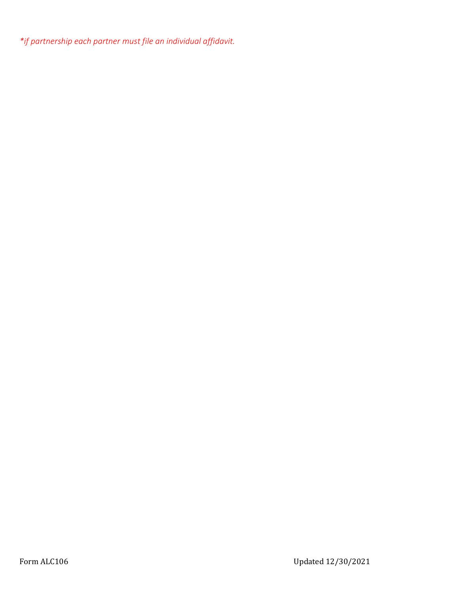*\*if partnership each partner must file an individual affidavit.*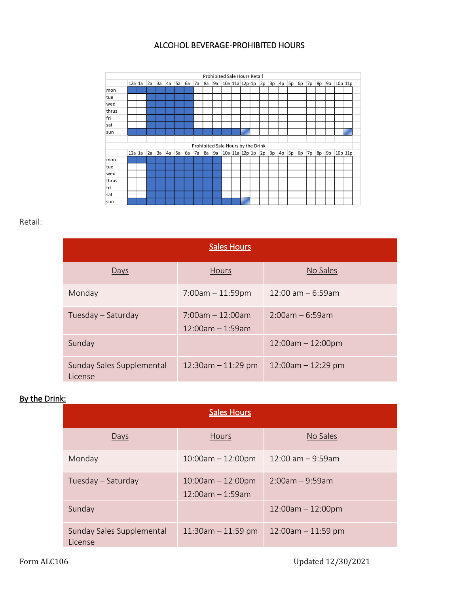### ALCOHOL BEVERAGE-PROHIBITED HOURS



#### Retail:

| <b>Sales Hours</b>                   |                                                |                        |  |  |  |  |  |  |  |
|--------------------------------------|------------------------------------------------|------------------------|--|--|--|--|--|--|--|
| Days                                 | Hours                                          | No Sales               |  |  |  |  |  |  |  |
| Monday                               | $7:00am - 11:59pm$                             | $12:00$ am $-6:59$ am  |  |  |  |  |  |  |  |
| Tuesday – Saturday                   | $7:00$ am $-12:00$ am<br>$12:00$ am $-1:59$ am | $2:00$ am – 6:59am     |  |  |  |  |  |  |  |
| Sunday                               |                                                | $12:00am - 12:00pm$    |  |  |  |  |  |  |  |
| Sunday Sales Supplemental<br>License | $12:30$ am $-11:29$ pm                         | $12:00$ am $-12:29$ pm |  |  |  |  |  |  |  |

### By the Drink:

| <b>Sales Hours</b>                   |                                              |                        |  |  |  |  |  |  |
|--------------------------------------|----------------------------------------------|------------------------|--|--|--|--|--|--|
| Days                                 | <b>Hours</b>                                 | No Sales               |  |  |  |  |  |  |
| Monday                               | $10:00am - 12:00pm$                          | $12:00$ am $-9:59$ am  |  |  |  |  |  |  |
| Tuesday – Saturday                   | $10:00am - 12:00pm$<br>$12:00$ am $-1:59$ am | $2:00am - 9:59am$      |  |  |  |  |  |  |
| Sunday                               |                                              | $12:00am - 12:00pm$    |  |  |  |  |  |  |
| Sunday Sales Supplemental<br>License | $11:30$ am $-11:59$ pm                       | $12:00$ am $-11:59$ pm |  |  |  |  |  |  |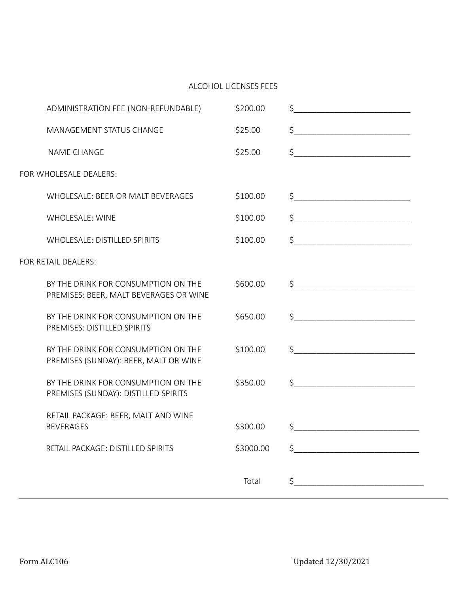#### ALCOHOL LICENSES FEES

|                        | ADMINISTRATION FEE (NON-REFUNDABLE)                                           | \$200.00  | $\frac{1}{2}$ $\frac{1}{2}$ $\frac{1}{2}$ $\frac{1}{2}$ $\frac{1}{2}$ $\frac{1}{2}$ $\frac{1}{2}$ $\frac{1}{2}$ $\frac{1}{2}$ $\frac{1}{2}$ $\frac{1}{2}$ $\frac{1}{2}$ $\frac{1}{2}$ $\frac{1}{2}$ $\frac{1}{2}$ $\frac{1}{2}$ $\frac{1}{2}$ $\frac{1}{2}$ $\frac{1}{2}$ $\frac{1}{2}$ $\frac{1}{2}$ $\frac{1}{2}$                                                 |
|------------------------|-------------------------------------------------------------------------------|-----------|---------------------------------------------------------------------------------------------------------------------------------------------------------------------------------------------------------------------------------------------------------------------------------------------------------------------------------------------------------------------|
|                        | MANAGEMENT STATUS CHANGE                                                      | \$25.00   | $\frac{1}{2}$                                                                                                                                                                                                                                                                                                                                                       |
|                        | <b>NAME CHANGE</b>                                                            | \$25.00   | $\begin{picture}(20,10) \put(0,0){\vector(1,0){100}} \put(15,0){\vector(1,0){100}} \put(15,0){\vector(1,0){100}} \put(15,0){\vector(1,0){100}} \put(15,0){\vector(1,0){100}} \put(15,0){\vector(1,0){100}} \put(15,0){\vector(1,0){100}} \put(15,0){\vector(1,0){100}} \put(15,0){\vector(1,0){100}} \put(15,0){\vector(1,0){100}} \put(15,0){\vector(1,0){100}} \$ |
| FOR WHOLESALE DEALERS: |                                                                               |           |                                                                                                                                                                                                                                                                                                                                                                     |
|                        | WHOLESALE: BEER OR MALT BEVERAGES                                             | \$100.00  | $\begin{picture}(20,10) \put(0,0){\line(1,0){10}} \put(15,0){\line(1,0){10}} \put(15,0){\line(1,0){10}} \put(15,0){\line(1,0){10}} \put(15,0){\line(1,0){10}} \put(15,0){\line(1,0){10}} \put(15,0){\line(1,0){10}} \put(15,0){\line(1,0){10}} \put(15,0){\line(1,0){10}} \put(15,0){\line(1,0){10}} \put(15,0){\line(1,0){10}} \put(15,0){\line(1$                 |
|                        | <b>WHOLESALE: WINE</b>                                                        | \$100.00  | $\begin{picture}(20,10) \put(0,0){\line(1,0){10}} \put(15,0){\line(1,0){10}} \put(15,0){\line(1,0){10}} \put(15,0){\line(1,0){10}} \put(15,0){\line(1,0){10}} \put(15,0){\line(1,0){10}} \put(15,0){\line(1,0){10}} \put(15,0){\line(1,0){10}} \put(15,0){\line(1,0){10}} \put(15,0){\line(1,0){10}} \put(15,0){\line(1,0){10}} \put(15,0){\line(1$                 |
|                        | <b>WHOLESALE: DISTILLED SPIRITS</b>                                           | \$100.00  | $\begin{picture}(20,10) \put(0,0){\vector(1,0){100}} \put(15,0){\vector(1,0){100}} \put(15,0){\vector(1,0){100}} \put(15,0){\vector(1,0){100}} \put(15,0){\vector(1,0){100}} \put(15,0){\vector(1,0){100}} \put(15,0){\vector(1,0){100}} \put(15,0){\vector(1,0){100}} \put(15,0){\vector(1,0){100}} \put(15,0){\vector(1,0){100}} \put(15,0){\vector(1,0){100}} \$ |
| FOR RETAIL DEALERS:    |                                                                               |           |                                                                                                                                                                                                                                                                                                                                                                     |
|                        | BY THE DRINK FOR CONSUMPTION ON THE<br>PREMISES: BEER, MALT BEVERAGES OR WINE | \$600.00  | $\frac{1}{2}$                                                                                                                                                                                                                                                                                                                                                       |
|                        | BY THE DRINK FOR CONSUMPTION ON THE<br>PREMISES: DISTILLED SPIRITS            | \$650.00  |                                                                                                                                                                                                                                                                                                                                                                     |
|                        | BY THE DRINK FOR CONSUMPTION ON THE<br>PREMISES (SUNDAY): BEER, MALT OR WINE  | \$100.00  | $\begin{picture}(20,10) \put(0,0){\vector(1,0){100}} \put(15,0){\vector(1,0){100}} \put(15,0){\vector(1,0){100}} \put(15,0){\vector(1,0){100}} \put(15,0){\vector(1,0){100}} \put(15,0){\vector(1,0){100}} \put(15,0){\vector(1,0){100}} \put(15,0){\vector(1,0){100}} \put(15,0){\vector(1,0){100}} \put(15,0){\vector(1,0){100}} \put(15,0){\vector(1,0){100}} \$ |
|                        | BY THE DRINK FOR CONSUMPTION ON THE<br>PREMISES (SUNDAY): DISTILLED SPIRITS   | \$350.00  | $\begin{picture}(20,10) \put(0,0){\vector(1,0){100}} \put(15,0){\vector(1,0){100}} \put(15,0){\vector(1,0){100}} \put(15,0){\vector(1,0){100}} \put(15,0){\vector(1,0){100}} \put(15,0){\vector(1,0){100}} \put(15,0){\vector(1,0){100}} \put(15,0){\vector(1,0){100}} \put(15,0){\vector(1,0){100}} \put(15,0){\vector(1,0){100}} \put(15,0){\vector(1,0){100}} \$ |
|                        | RETAIL PACKAGE: BEER, MALT AND WINE<br><b>BEVERAGES</b>                       | \$300.00  | $\frac{1}{2}$                                                                                                                                                                                                                                                                                                                                                       |
|                        | RETAIL PACKAGE: DISTILLED SPIRITS                                             | \$3000.00 | \$                                                                                                                                                                                                                                                                                                                                                                  |
|                        |                                                                               | Total     | \$                                                                                                                                                                                                                                                                                                                                                                  |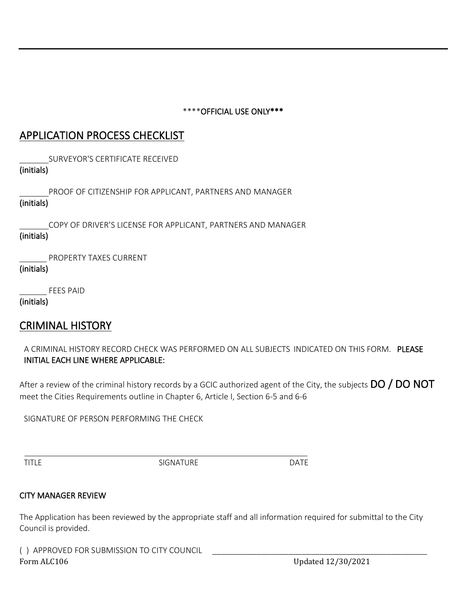### \*\*\*\*OFFICIAL USE ONLY\*\*\*

## APPLICATION PROCESS CHECKLIST

SURVEYOR'S CERTIFICATE RECEIVED

### (initials)

 PROOF OF CITIZENSHIP FOR APPLICANT, PARTNERS AND MANAGER (initials)

 COPY OF DRIVER'S LICENSE FOR APPLICANT, PARTNERS AND MANAGER (initials)

PROPERTY TAXES CURRENT

(initials)

FEES PAID

(initials)

## CRIMINAL HISTORY

A CRIMINAL HISTORY RECORD CHECK WAS PERFORMED ON ALL SUBJECTS INDICATED ON THIS FORM. PLEASE INITIAL EACH LINE WHERE APPLICABLE:

After a review of the criminal history records by a GCIC authorized agent of the City, the subjects  $\overline{DO}$  /  $\overline{DO}$  NOT meet the Cities Requirements outline in Chapter 6, Article I, Section 6-5 and 6-6

SIGNATURE OF PERSON PERFORMING THE CHECK

TITLE SIGNATURE DATE

### CITY MANAGER REVIEW

The Application has been reviewed by the appropriate staff and all information required for submittal to the City Council is provided.

Form ALC106 Updated 12/30/2021 () APPROVED FOR SUBMISSION TO CITY COUNCIL